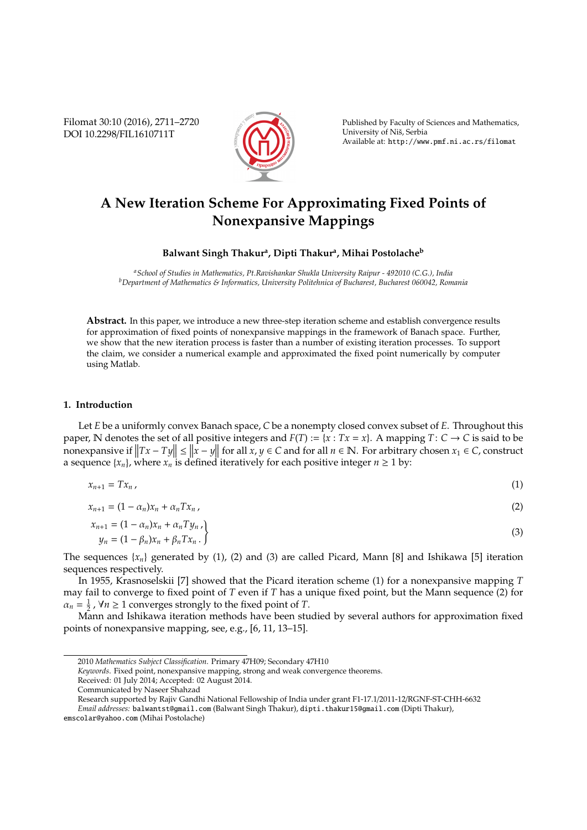Filomat 30:10 (2016), 2711–2720 DOI 10.2298/FIL1610711T



Published by Faculty of Sciences and Mathematics, University of Niš, Serbia Available at: http://www.pmf.ni.ac.rs/filomat

# **A New Iteration Scheme For Approximating Fixed Points of Nonexpansive Mappings**

# **Balwant Singh Thakur<sup>a</sup> , Dipti Thakur<sup>a</sup> , Mihai Postolache<sup>b</sup>**

*<sup>a</sup>School of Studies in Mathematics, Pt.Ravishankar Shukla University Raipur - 492010 (C.G.), India <sup>b</sup>Department of Mathematics & Informatics, University Politehnica of Bucharest, Bucharest 060042, Romania*

**Abstract.** In this paper, we introduce a new three-step iteration scheme and establish convergence results for approximation of fixed points of nonexpansive mappings in the framework of Banach space. Further, we show that the new iteration process is faster than a number of existing iteration processes. To support the claim, we consider a numerical example and approximated the fixed point numerically by computer using Matlab.

### **1. Introduction**

Let *E* be a uniformly convex Banach space, *C* be a nonempty closed convex subset of *E*. Throughout this paper, N denotes the set of all positive integers and  $F(T) := \{x : Tx = x\}$ . A mapping  $T: C \to C$  is said to be nonexpansive if  $||Tx - Ty|| \le ||x - y||$  for all  $x, y \in C$  and for all  $n \in \mathbb{N}$ . For arbitrary chosen  $x_1 \in C$ , construct a sequence  $\{x_n\}$ , where  $x_n$  is defined iteratively for each positive integer  $n \geq 1$  by:

$$
x_{n+1} = Tx_n \tag{1}
$$

 $x_{n+1} = (1 - \alpha_n)x_n + \alpha_n T x_n$ , (2)

$$
x_{n+1} = (1 - \alpha_n)x_n + \alpha_n T y_n ,
$$
  
\n
$$
y_n = (1 - \beta_n)x_n + \beta_n T x_n .
$$
\n(3)

The sequences  $\{x_n\}$  generated by (1), (2) and (3) are called Picard, Mann [8] and Ishikawa [5] iteration sequences respectively.

In 1955, Krasnoselskii [7] showed that the Picard iteration scheme (1) for a nonexpansive mapping *T* may fail to converge to fixed point of *T* even if *T* has a unique fixed point, but the Mann sequence (2) for  $\alpha_n = \frac{1}{2}$ ,  $\forall n \ge 1$  converges strongly to the fixed point of *T*.

Mann and Ishikawa iteration methods have been studied by several authors for approximation fixed points of nonexpansive mapping, see, e.g., [6, 11, 13–15].

*Keywords*. Fixed point, nonexpansive mapping, strong and weak convergence theorems.

<sup>2010</sup> *Mathematics Subject Classification*. Primary 47H09; Secondary 47H10

Received: 01 July 2014; Accepted: 02 August 2014.

Communicated by Naseer Shahzad

Research supported by Rajiv Gandhi National Fellowship of India under grant F1-17.1/2011-12/RGNF-ST-CHH-6632

*Email addresses:* balwantst@gmail.com (Balwant Singh Thakur), dipti.thakur15@gmail.com (Dipti Thakur),

emscolar@yahoo.com (Mihai Postolache)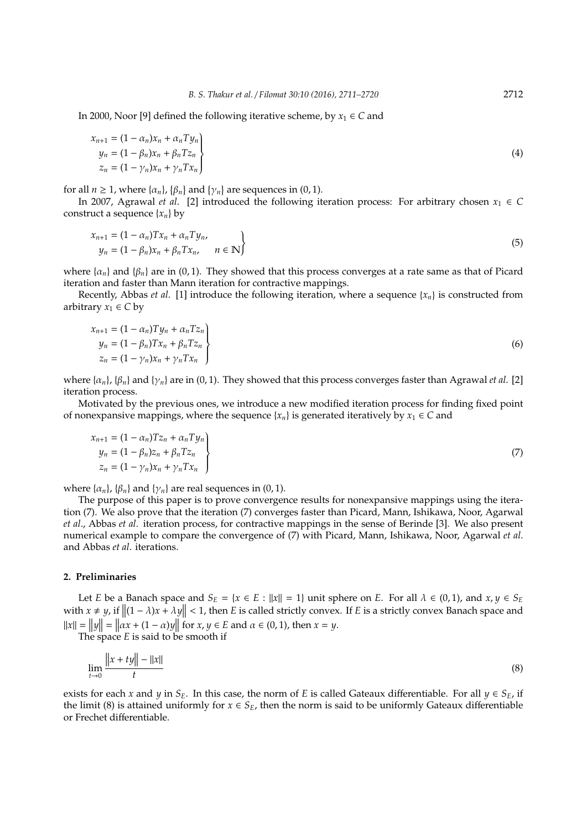In 2000, Noor [9] defined the following iterative scheme, by  $x_1 \in C$  and

$$
x_{n+1} = (1 - \alpha_n)x_n + \alpha_n T y_n
$$
  
\n
$$
y_n = (1 - \beta_n)x_n + \beta_n T z_n
$$
  
\n
$$
z_n = (1 - \gamma_n)x_n + \gamma_n T x_n
$$
\n(4)

for all  $n \geq 1$ , where  $\{\alpha_n\}$ ,  $\{\beta_n\}$  and  $\{\gamma_n\}$  are sequences in  $(0, 1)$ .

In 2007, Agrawal *et al.* [2] introduced the following iteration process: For arbitrary chosen  $x_1 \in C$ construct a sequence  $\{x_n\}$  by

$$
x_{n+1} = (1 - \alpha_n)Tx_n + \alpha_n Ty_n,
$$
  
\n
$$
y_n = (1 - \beta_n)x_n + \beta_n Tx_n, \quad n \in \mathbb{N}
$$
\n(5)

where  $\{\alpha_n\}$  and  $\{\beta_n\}$  are in (0, 1). They showed that this process converges at a rate same as that of Picard iteration and faster than Mann iteration for contractive mappings.

Recently, Abbas *et al.* [1] introduce the following iteration, where a sequence  $\{x_n\}$  is constructed from arbitrary  $x_1 \in C$  by

$$
x_{n+1} = (1 - \alpha_n) T y_n + \alpha_n T z_n
$$
  
\n
$$
y_n = (1 - \beta_n) T x_n + \beta_n T z_n
$$
  
\n
$$
z_n = (1 - \gamma_n) x_n + \gamma_n T x_n
$$
\n(6)

where  $\{\alpha_n\}$ ,  $\{\beta_n\}$  and  $\{\gamma_n\}$  are in (0, 1). They showed that this process converges faster than Agrawal *et al.* [2] iteration process.

Motivated by the previous ones, we introduce a new modified iteration process for finding fixed point of nonexpansive mappings, where the sequence  $\{x_n\}$  is generated iteratively by  $x_1 \in C$  and

$$
x_{n+1} = (1 - \alpha_n)Tz_n + \alpha_n T y_n
$$
  
\n
$$
y_n = (1 - \beta_n)z_n + \beta_n T z_n
$$
  
\n
$$
z_n = (1 - \gamma_n)x_n + \gamma_n T x_n
$$
\n(7)

where  $\{\alpha_n\}$ ,  $\{\beta_n\}$  and  $\{\gamma_n\}$  are real sequences in (0, 1).

The purpose of this paper is to prove convergence results for nonexpansive mappings using the iteration (7). We also prove that the iteration (7) converges faster than Picard, Mann, Ishikawa, Noor, Agarwal *et al*., Abbas *et al*. iteration process, for contractive mappings in the sense of Berinde [3]. We also present numerical example to compare the convergence of (7) with Picard, Mann, Ishikawa, Noor, Agarwal *et al*. and Abbas *et al*. iterations.

### **2. Preliminaries**

Let *E* be a Banach space and  $S_E = \{x \in E : ||x|| = 1\}$  unit sphere on *E*. For all  $\lambda \in (0, 1)$ , and  $x, y \in S_E$ with  $x \neq y$ , if  $\|(1 - \lambda)x + \lambda y\| < 1$ , then *E* is called strictly convex. If *E* is a strictly convex Banach space and  $||x|| = ||y|| = ||ax + (1 - \alpha)y||$  for  $x, y \in E$  and  $\alpha \in (0, 1)$ , then  $x = y$ .

The space *E* is said to be smooth if

$$
\lim_{t \to 0} \frac{\|x + ty\| - \|x\|}{t}
$$
 (8)

exists for each *x* and *y* in *S*<sub>E</sub>. In this case, the norm of *E* is called Gateaux differentiable. For all  $y \in S_E$ , if the limit (8) is attained uniformly for  $x \in S_E$ , then the norm is said to be uniformly Gateaux differentiable or Frechet differentiable.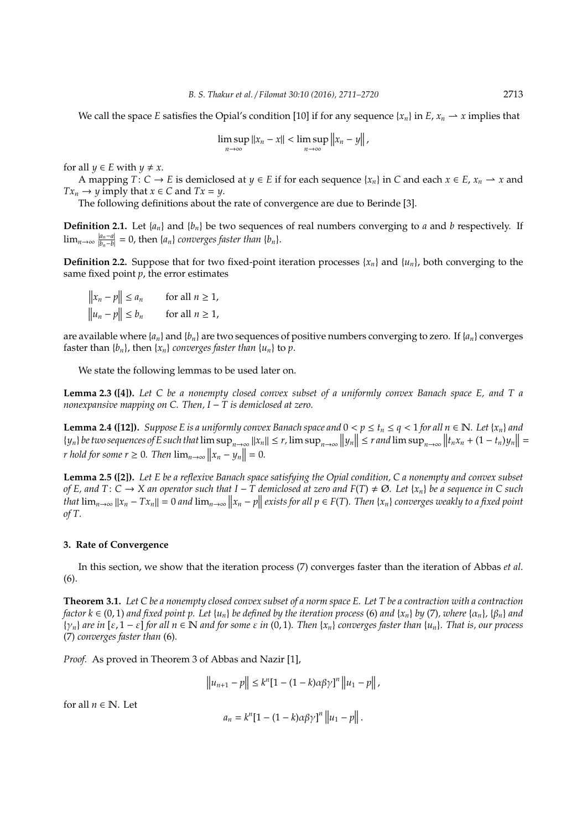We call the space *E* satisfies the Opial's condition [10] if for any sequence  $\{x_n\}$  in *E*,  $x_n \to x$  implies that

$$
\limsup_{n\to\infty}||x_n-x||<\limsup_{n\to\infty}||x_n-y||,
$$

for all  $y \in E$  with  $y \neq x$ .

 $\mathbf{a}$ 

 $\sim$ 

A mapping  $T: C \to E$  is demiclosed at  $y \in E$  if for each sequence  $\{x_n\}$  in C and each  $x \in E$ ,  $x_n \to x$  and  $Tx_n \to y$  imply that  $x \in C$  and  $Tx = y$ .

The following definitions about the rate of convergence are due to Berinde [3].

**Definition 2.1.** Let {*an*} and {*bn*} be two sequences of real numbers converging to *a* and *b* respectively. If  $\lim_{n\to\infty} \frac{|a_n-a|}{|b_n-b|}$  $\frac{|a_n - a|}{|b_n - b|} = 0$ , then  $\{a_n\}$  *converges faster than*  $\{b_n\}$ .

**Definition 2.2.** Suppose that for two fixed-point iteration processes  $\{x_n\}$  and  $\{u_n\}$ , both converging to the same fixed point *p*, the error estimates

$$
||x_n - p|| \le a_n \quad \text{for all } n \ge 1,
$$
  

$$
||u_n - p|| \le b_n \quad \text{for all } n \ge 1,
$$

are available where  $\{a_n\}$  and  $\{b_n\}$  are two sequences of positive numbers converging to zero. If  $\{a_n\}$  converges faster than  $\{b_n\}$ , then  $\{x_n\}$  *converges faster than*  $\{u_n\}$  to  $p$ .

We state the following lemmas to be used later on.

**Lemma 2.3 ([4]).** *Let C be a nonempty closed convex subset of a uniformly convex Banach space E, and T a nonexpansive mapping on C. Then, I* − *T is demiclosed at zero.*

**Lemma 2.4 ([12]).** *Suppose E is a uniformly convex Banach space and*  $0 < p \le t_n \le q < 1$  *for all*  $n \in \mathbb{N}$ *. Let*  $\{x_n\}$  *and*  ${y_n}$  be two sequences of E such that  $\limsup_{n\to\infty} ||x_n|| \le r$ ,  $\limsup_{n\to\infty} ||y_n|| \le r$  and  $\limsup_{n\to\infty} ||t_nx_n + (1-t_n)y_n|| =$ *r* hold for some  $r \ge 0$ . Then  $\lim_{n \to \infty} ||x_n - y_n|| = 0$ .

**Lemma 2.5 ([2]).** *Let E be a reflexive Banach space satisfying the Opial condition, C a nonempty and convex subset of E, and T*:  $C \rightarrow X$  *an operator such that*  $I - T$  *demiclosed at zero and*  $F(T) \neq \emptyset$ *. Let* {*x<sub>n</sub>*} *be a sequence in* C *such* that  $\lim_{n\to\infty}||x_n-Tx_n||=0$  and  $\lim_{n\to\infty}||x_n-p||$  exists for all  $p\in F(T)$ . Then  $\{x_n\}$  converges weakly to a fixed point *of T.*

#### **3. Rate of Convergence**

In this section, we show that the iteration process (7) converges faster than the iteration of Abbas *et al*. (6).

**Theorem 3.1.** *Let C be a nonempty closed convex subset of a norm space E. Let T be a contraction with a contraction factor*  $k \in (0, 1)$  *and fixed point p. Let*  $\{u_n\}$  *be defined by the iteration process* (6) *and*  $\{x_n\}$  *by* (7)*, where*  $\{\alpha_n\}$ *,*  $\{\beta_n\}$  *and*  $\{\gamma_n\}$  are in  $[\varepsilon, 1 - \varepsilon]$  for all  $n \in \mathbb{N}$  and for some  $\varepsilon$  in  $(0, 1)$ *. Then*  $\{x_n\}$  converges faster than  $\{u_n\}$ *. That is, our process* (7) *converges faster than* (6)*.*

*Proof.* As proved in Theorem 3 of Abbas and Nazir [1],

$$
\|u_{n+1} - p\| \le k^n [1 - (1 - k)\alpha \beta \gamma]^n \|u_1 - p\|,
$$

for all  $n \in \mathbb{N}$ . Let

$$
a_n = k^n [1 - (1 - k) \alpha \beta \gamma]^n ||u_1 - p||.
$$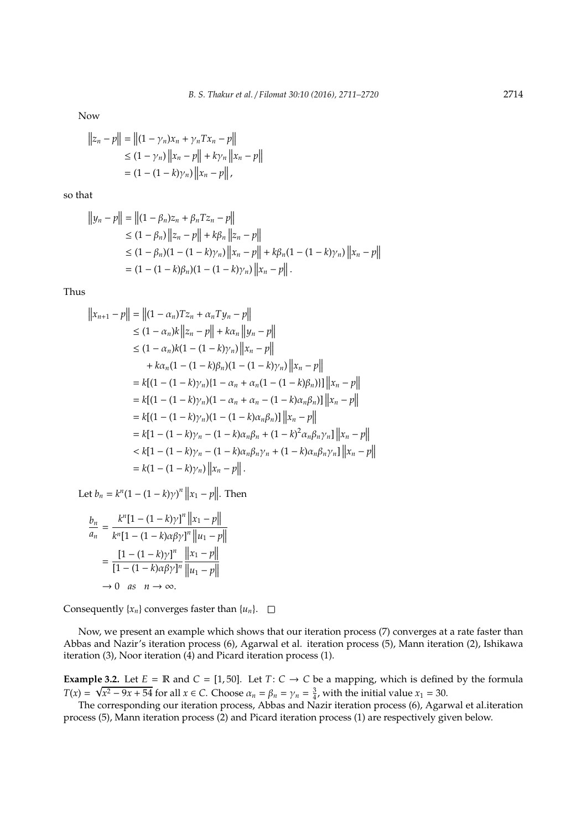Now

$$
||z_n - p|| = ||(1 - \gamma_n)x_n + \gamma_n Tx_n - p||
$$
  
\n
$$
\leq (1 - \gamma_n) ||x_n - p|| + k\gamma_n ||x_n - p||
$$
  
\n
$$
= (1 - (1 - k)\gamma_n) ||x_n - p||,
$$

so that

$$
||y_n - p|| = ||(1 - \beta_n)z_n + \beta_n T z_n - p||
$$
  
\n
$$
\leq (1 - \beta_n) ||z_n - p|| + k\beta_n ||z_n - p||
$$
  
\n
$$
\leq (1 - \beta_n)(1 - (1 - k)\gamma_n) ||x_n - p|| + k\beta_n(1 - (1 - k)\gamma_n) ||x_n - p||
$$
  
\n
$$
= (1 - (1 - k)\beta_n)(1 - (1 - k)\gamma_n) ||x_n - p||.
$$

Thus

$$
||x_{n+1} - p|| = ||(1 - \alpha_n)Tz_n + \alpha_n Ty_n - p||
$$
  
\n
$$
\leq (1 - \alpha_n)k ||z_n - p|| + k\alpha_n ||y_n - p||
$$
  
\n
$$
\leq (1 - \alpha_n)k(1 - (1 - k)\gamma_n) ||x_n - p||
$$
  
\n
$$
+ k\alpha_n(1 - (1 - k)\beta_n)(1 - (1 - k)\gamma_n) ||x_n - p||
$$
  
\n
$$
= k[(1 - (1 - k)\gamma_n)(1 - \alpha_n + \alpha_n(1 - (1 - k)\beta_n))] ||x_n - p||
$$
  
\n
$$
= k[(1 - (1 - k)\gamma_n)(1 - \alpha_n + \alpha_n - (1 - k)\alpha_n\beta_n)] ||x_n - p||
$$
  
\n
$$
= k[(1 - (1 - k)\gamma_n)(1 - (1 - k)\alpha_n\beta_n)] ||x_n - p||
$$
  
\n
$$
= k[1 - (1 - k)\gamma_n - (1 - k)\alpha_n\beta_n\gamma_n + (1 - k)^2\alpha_n\beta_n\gamma_n] ||x_n - p||
$$
  
\n
$$
< k[1 - (1 - k)\gamma_n - (1 - k)\alpha_n\beta_n\gamma_n + (1 - k)\alpha_n\beta_n\gamma_n] ||x_n - p||
$$
  
\n
$$
= k(1 - (1 - k)\gamma_n) ||x_n - p||.
$$

Let  $b_n = k^n (1 - (1 - k)\gamma)^n ||x_1 - p||$ . Then

$$
\frac{b_n}{a_n} = \frac{k^n [1 - (1 - k)\gamma]^n ||x_1 - p||}{k^n [1 - (1 - k)\alpha \beta \gamma]^n ||u_1 - p||}
$$

$$
= \frac{[1 - (1 - k)\gamma]^n}{[1 - (1 - k)\alpha \beta \gamma]^n ||u_1 - p||}
$$

$$
\to 0 \text{ as } n \to \infty.
$$

Consequently  $\{x_n\}$  converges faster than  $\{u_n\}$ .  $\Box$ 

Now, we present an example which shows that our iteration process (7) converges at a rate faster than Abbas and Nazir's iteration process (6), Agarwal et al. iteration process (5), Mann iteration (2), Ishikawa iteration (3), Noor iteration (4) and Picard iteration process (1).

**Example 3.2.** Let  $E = \mathbb{R}$  and  $C = [1, 50]$ . Let  $T: C \to C$  be a mapping, which is defined by the formula  $T(x) = \sqrt{x^2 - 9x + 54}$  for all  $x \in C$ . Choose  $\alpha_n = \beta_n = \gamma_n = \frac{3}{4}$ , with the initial value  $x_1 = 30$ .

The corresponding our iteration process, Abbas and Nazir iteration process (6), Agarwal et al.iteration process (5), Mann iteration process (2) and Picard iteration process (1) are respectively given below.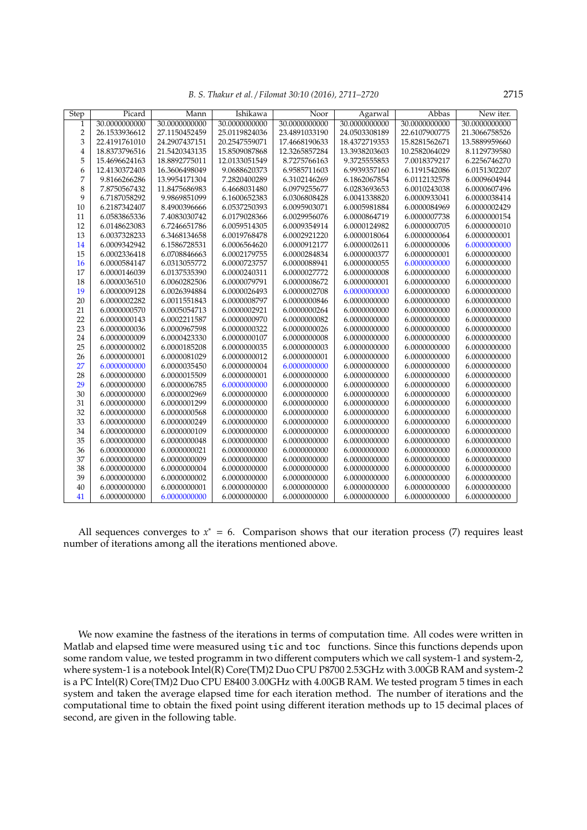*B. S. Thakur et al.* / *Filomat 30:10 (2016), 2711–2720* 2715

| Step           | Picard        | Mann          | Ishikawa      | Noor          | Agarwal       | Abbas         | New iter.     |
|----------------|---------------|---------------|---------------|---------------|---------------|---------------|---------------|
| 1              | 30.0000000000 | 30.0000000000 | 30.0000000000 | 30.0000000000 | 30.0000000000 | 30.0000000000 | 30.0000000000 |
| $\overline{2}$ | 26.1533936612 | 27.1150452459 | 25.0119824036 | 23.4891033190 | 24.0503308189 | 22.6107900775 | 21.3066758526 |
| 3              | 22.4191761010 | 24.2907437151 | 20.2547559071 | 17.4668190633 | 18.4372719353 | 15.8281562671 | 13.5889959660 |
| $\overline{4}$ | 18.8373796516 | 21.5420343135 | 15.8509087868 | 12.3265857284 | 13.3938203603 | 10.2582064029 | 8.1129739580  |
| 5              | 15.4696624163 | 18.8892775011 | 12.0133051549 | 8.7275766163  | 9.3725555853  | 7.0018379217  | 6.2256746270  |
| 6              | 12.4130372403 | 16.3606498049 | 9.0688620373  | 6.9585711603  | 6.9939357160  | 6.1191542086  | 6.0151302207  |
| 7              | 9.8166266286  | 13.9954171304 | 7.2820400289  | 6.3102146269  | 6.1862067854  | 6.0112132578  | 6.0009604944  |
| 8              | 7.8750567432  | 11.8475686983 | 6.4668031480  | 6.0979255677  | 6.0283693653  | 6.0010243038  | 6.0000607496  |
| 9              | 6.7187058292  | 9.9869851099  | 6.1600652383  | 6.0306808428  | 6.0041338820  | 6.0000933041  | 6.0000038414  |
| 10             | 6.2187342407  | 8.4900396666  | 6.0537250393  | 6.0095903071  | 6.0005981884  | 6.0000084969  | 6.0000002429  |
| 11             | 6.0583865336  | 7.4083030742  | 6.0179028366  | 6.0029956076  | 6.0000864719  | 6.0000007738  | 6.0000000154  |
| 12             | 6.0148623083  | 6.7246651786  | 6.0059514305  | 6.0009354914  | 6.0000124982  | 6.0000000705  | 6.0000000010  |
| 13             | 6.0037328233  | 6.3468134658  | 6.0019768478  | 6.0002921220  | 6.0000018064  | 6.0000000064  | 6.0000000001  |
| 14             | 6.0009342942  | 6.1586728531  | 6.0006564620  | 6.0000912177  | 6.0000002611  | 6.0000000006  | 6.0000000000  |
| 15             | 6.0002336418  | 6.0708846663  | 6.0002179755  | 6.0000284834  | 6.0000000377  | 6.0000000001  | 6.0000000000  |
| 16             | 6.0000584147  | 6.0313055772  | 6.0000723757  | 6.0000088941  | 6.0000000055  | 6.0000000000  | 6.0000000000  |
| 17             | 6.0000146039  | 6.0137535390  | 6.0000240311  | 6.0000027772  | 6.0000000008  | 6.0000000000  | 6.0000000000  |
| 18             | 6.0000036510  | 6.0060282506  | 6.0000079791  | 6.0000008672  | 6.0000000001  | 6.0000000000  | 6.0000000000  |
| 19             | 6.0000009128  | 6.0026394884  | 6.0000026493  | 6.0000002708  | 6.0000000000  | 6.0000000000  | 6.0000000000  |
| 20             | 6.0000002282  | 6.0011551843  | 6.0000008797  | 6.0000000846  | 6.0000000000  | 6.0000000000  | 6.0000000000  |
| 21             | 6.0000000570  | 6.0005054713  | 6.0000002921  | 6.0000000264  | 6.0000000000  | 6.0000000000  | 6.0000000000  |
| 22             | 6.0000000143  | 6.0002211587  | 6.0000000970  | 6.0000000082  | 6.0000000000  | 6.0000000000  | 6.0000000000  |
| 23             | 6.0000000036  | 6.0000967598  | 6.0000000322  | 6.0000000026  | 6.0000000000  | 6.0000000000  | 6.0000000000  |
| 24             | 6.0000000009  | 6.0000423330  | 6.0000000107  | 6.0000000008  | 6.0000000000  | 6.0000000000  | 6.0000000000  |
| 25             | 6.0000000002  | 6.0000185208  | 6.0000000035  | 6.0000000003  | 6.0000000000  | 6.0000000000  | 6.0000000000  |
| 26             | 6.0000000001  | 6.0000081029  | 6.0000000012  | 6.0000000001  | 6.0000000000  | 6.0000000000  | 6.0000000000  |
| 27             | 6.0000000000  | 6.0000035450  | 6.0000000004  | 6.0000000000  | 6.0000000000  | 6.0000000000  | 6.0000000000  |
| 28             | 6.0000000000  | 6.0000015509  | 6.0000000001  | 6.0000000000  | 6.0000000000  | 6.0000000000  | 6.0000000000  |
| 29             | 6.0000000000  | 6.0000006785  | 6.0000000000  | 6.0000000000  | 6.0000000000  | 6.0000000000  | 6.0000000000  |
| 30             | 6.0000000000  | 6.0000002969  | 6.0000000000  | 6.0000000000  | 6.0000000000  | 6.0000000000  | 6.0000000000  |
| 31             | 6.0000000000  | 6.0000001299  | 6.0000000000  | 6.0000000000  | 6.0000000000  | 6.0000000000  | 6.0000000000  |
| 32             | 6.0000000000  | 6.0000000568  | 6.0000000000  | 6.0000000000  | 6.0000000000  | 6.0000000000  | 6.0000000000  |
| 33             | 6.0000000000  | 6.0000000249  | 6.0000000000  | 6.0000000000  | 6.0000000000  | 6.0000000000  | 6.0000000000  |
| 34             | 6.0000000000  | 6.0000000109  | 6.0000000000  | 6.0000000000  | 6.0000000000  | 6.0000000000  | 6.0000000000  |
| 35             | 6.0000000000  | 6.0000000048  | 6.0000000000  | 6.0000000000  | 6.0000000000  | 6.0000000000  | 6.0000000000  |
| 36             | 6.0000000000  | 6.0000000021  | 6.0000000000  | 6.0000000000  | 6.0000000000  | 6.0000000000  | 6.0000000000  |
| 37             | 6.0000000000  | 6.0000000009  | 6.0000000000  | 6.0000000000  | 6.0000000000  | 6.0000000000  | 6.0000000000  |
| 38             | 6.0000000000  | 6.0000000004  | 6.0000000000  | 6.0000000000  | 6.0000000000  | 6.0000000000  | 6.0000000000  |
| 39             | 6.0000000000  | 6.0000000002  | 6.0000000000  | 6.0000000000  | 6.0000000000  | 6.0000000000  | 6.0000000000  |
| 40             | 6.0000000000  | 6.0000000001  | 6.0000000000  | 6.0000000000  | 6.0000000000  | 6.0000000000  | 6.0000000000  |
| 41             | 6.0000000000  | 6.0000000000  | 6.0000000000  | 6.0000000000  | 6.0000000000  | 6.0000000000  | 6.0000000000  |

All sequences converges to  $x^* = 6$ . Comparison shows that our iteration process (7) requires least number of iterations among all the iterations mentioned above.

We now examine the fastness of the iterations in terms of computation time. All codes were written in Matlab and elapsed time were measured using tic and toc functions. Since this functions depends upon some random value, we tested programm in two different computers which we call system-1 and system-2, where system-1 is a notebook Intel(R) Core(TM)2 Duo CPU P8700 2.53GHz with 3.00GB RAM and system-2 is a PC Intel(R) Core(TM)2 Duo CPU E8400 3.00GHz with 4.00GB RAM. We tested program 5 times in each system and taken the average elapsed time for each iteration method. The number of iterations and the computational time to obtain the fixed point using different iteration methods up to 15 decimal places of second, are given in the following table.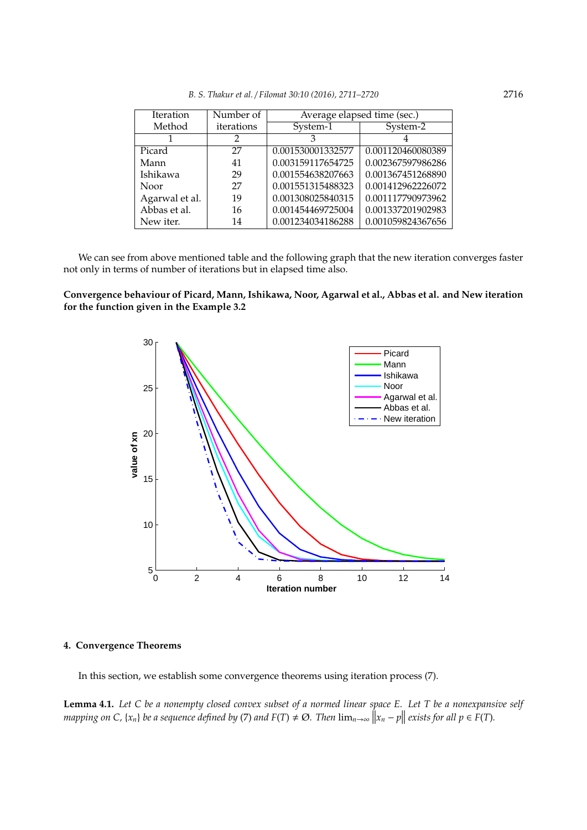|  |  | B. S. Thakur et al. / Filomat 30:10 (2016), 2711–2720 | 2716 |
|--|--|-------------------------------------------------------|------|
|--|--|-------------------------------------------------------|------|

| Iteration      | Number of  | Average elapsed time (sec.) |                   |  |  |
|----------------|------------|-----------------------------|-------------------|--|--|
| Method         | iterations | System-1                    | System-2          |  |  |
|                | 2          |                             |                   |  |  |
| Picard         | 27         | 0.001530001332577           | 0.001120460080389 |  |  |
| Mann           | 41         | 0.003159117654725           | 0.002367597986286 |  |  |
| Ishikawa       | 29         | 0.001554638207663           | 0.001367451268890 |  |  |
| Noor           | 27         | 0.001551315488323           | 0.001412962226072 |  |  |
| Agarwal et al. | 19         | 0.001308025840315           | 0.001117790973962 |  |  |
| Abbas et al.   | 16         | 0.001454469725004           | 0.001337201902983 |  |  |
| New iter.      | 14         | 0.001234034186288           | 0.001059824367656 |  |  |

We can see from above mentioned table and the following graph that the new iteration converges faster not only in terms of number of iterations but in elapsed time also.

# **Convergence behaviour of Picard, Mann, Ishikawa, Noor, Agarwal et al., Abbas et al. and New iteration for the function given in the Example 3.2**



# **4. Convergence Theorems**

In this section, we establish some convergence theorems using iteration process (7).

**Lemma 4.1.** *Let C be a nonempty closed convex subset of a normed linear space E. Let T be a nonexpansive self mapping on C,* { $x_n$ } *be a sequence defined by* (*7*) *and*  $F(T) \neq \emptyset$ . *Then*  $\lim_{n\to\infty} ||x_n - p||$  *exists for all*  $p \in F(T)$ *.*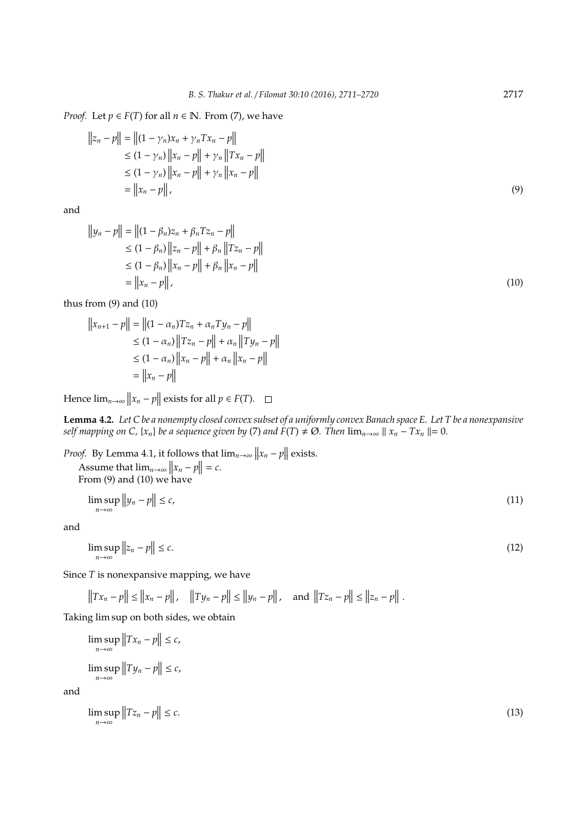*Proof.* Let  $p \in F(T)$  for all  $n \in \mathbb{N}$ . From (7), we have

$$
||z_n - p|| = ||(1 - \gamma_n)x_n + \gamma_n Tx_n - p||
$$
  
\n
$$
\leq (1 - \gamma_n) ||x_n - p|| + \gamma_n ||Tx_n - p||
$$
  
\n
$$
\leq (1 - \gamma_n) ||x_n - p|| + \gamma_n ||x_n - p||
$$
  
\n
$$
= ||x_n - p||,
$$
\n(9)

and

$$
||y_n - p|| = ||(1 - \beta_n)z_n + \beta_n T z_n - p||
$$
  
\n
$$
\leq (1 - \beta_n) ||z_n - p|| + \beta_n ||T z_n - p||
$$
  
\n
$$
\leq (1 - \beta_n) ||x_n - p|| + \beta_n ||x_n - p||
$$
  
\n
$$
= ||x_n - p||,
$$
\n(10)

thus from (9) and (10)

 $\ddot{\phantom{a}}$ 

$$
||x_{n+1} - p|| = ||(1 - \alpha_n)Tz_n + \alpha_n Ty_n - p||
$$
  
\n
$$
\leq (1 - \alpha_n) ||Tz_n - p|| + \alpha_n ||Ty_n - p||
$$
  
\n
$$
\leq (1 - \alpha_n) ||x_n - p|| + \alpha_n ||x_n - p||
$$
  
\n
$$
= ||x_n - p||
$$

Hence  $\lim_{n\to\infty} ||x_n - p||$  exists for all  $p \in F(T)$ .

**Lemma 4.2.** *Let C be a nonempty closed convex subset of a uniformly convex Banach space E. Let T be a nonexpansive self mapping on C,* { $x_n$ } *be a sequence given by* (7) *and*  $F(T) \neq \emptyset$ *. Then*  $\lim_{n\to\infty} ||x_n - Tx_n|| = 0$ *.* 

*Proof.* By Lemma 4.1, it follows that  $\lim_{n\to\infty} ||x_n - p||$  exists.

Assume that  $\lim_{n\to\infty} ||x_n - p|| = c$ .<br>From (9) and (10) we have

$$
\limsup_{n \to \infty} \|y_n - p\| \le c,\tag{11}
$$

and

$$
\limsup_{n \to \infty} \|z_n - p\| \le c. \tag{12}
$$

Since *T* is nonexpansive mapping, we have

$$
||Tx_n - p|| \le ||x_n - p||
$$
,  $||Ty_n - p|| \le ||y_n - p||$ , and  $||Tz_n - p|| \le ||z_n - p||$ .

Taking lim sup on both sides, we obtain

$$
\limsup_{n \to \infty} \|Tx_n - p\| \le c,
$$
  

$$
\limsup_{n \to \infty} \|Ty_n - p\| \le c,
$$

and

$$
\limsup_{n \to \infty} \|Tz_n - p\| \le c. \tag{13}
$$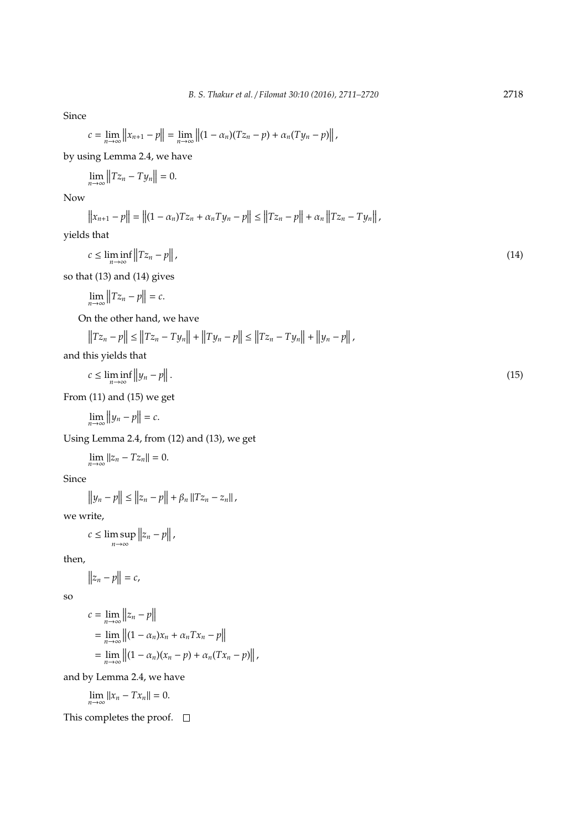Since

$$
c = \lim_{n \to \infty} ||x_{n+1} - p|| = \lim_{n \to \infty} ||(1 - \alpha_n)(Tz_n - p) + \alpha_n(Ty_n - p)||,
$$

by using Lemma 2.4, we have

$$
\lim_{n\to\infty}||Tz_n-Ty_n||=0.
$$

Now

$$
||x_{n+1} - p|| = ||(1 - \alpha_n)Tz_n + \alpha_n Ty_n - p|| \le ||Tz_n - p|| + \alpha_n ||Tz_n - Ty_n||,
$$

yields that

$$
c \le \liminf_{n \to \infty} \|Tz_n - p\|,\tag{14}
$$

so that (13) and (14) gives

 $\lim_{n\to\infty}$   $||Tz_n - p|| = c.$ 

On the other hand, we have

$$
||Tz_n - p|| \le ||Tz_n - Ty_n|| + ||Ty_n - p|| \le ||Tz_n - Ty_n|| + ||y_n - p||,
$$
  
his yields that

and this yields that

$$
c \le \liminf_{n \to \infty} \|y_n - p\| \,. \tag{15}
$$

From (11) and (15) we get

$$
\lim_{n\to\infty}\|y_n-p\|=c.
$$

Using Lemma 2.4, from (12) and (13), we get

 $\lim_{n \to \infty} ||z_n - Tz_n|| = 0.$ 

Since

$$
\|y_n - p\| \le \|z_n - p\| + \beta_n \|Tz_n - z_n\|,
$$

we write,

$$
c \leq \limsup_{n \to \infty} ||z_n - p||,
$$

then,

$$
||z_n - p|| = c,
$$

so

$$
c = \lim_{n \to \infty} ||z_n - p||
$$
  
= 
$$
\lim_{n \to \infty} ||(1 - \alpha_n)x_n + \alpha_n Tx_n - p||
$$
  
= 
$$
\lim_{n \to \infty} ||(1 - \alpha_n)(x_n - p) + \alpha_n (Tx_n - p)||
$$
,

and by Lemma 2.4, we have

$$
\lim_{n\to\infty}||x_n-Tx_n||=0.
$$

This completes the proof.  $\square$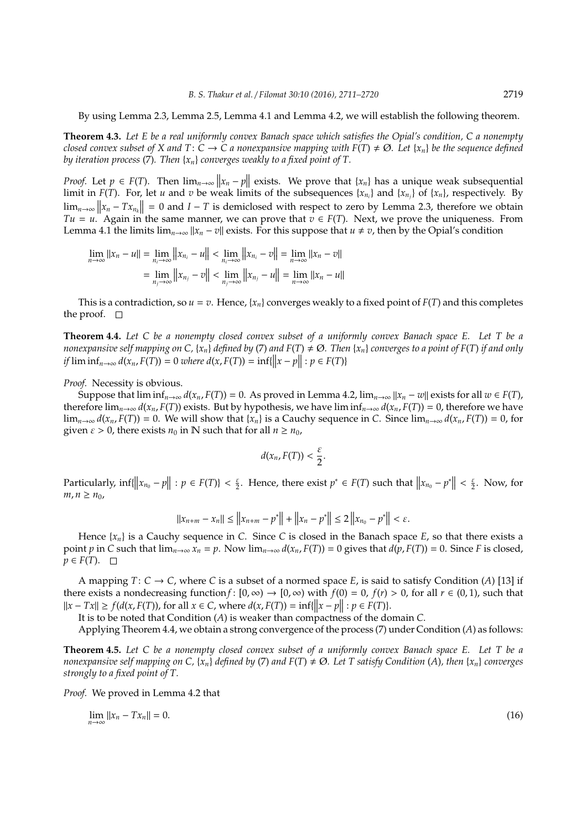By using Lemma 2.3, Lemma 2.5, Lemma 4.1 and Lemma 4.2, we will establish the following theorem.

**Theorem 4.3.** *Let E be a real uniformly convex Banach space which satisfies the Opial's condition, C a nonempty closed convex subset of X and T*:  $C \to C$  *a nonexpansive mapping with*  $F(T) \neq \emptyset$ . Let {*x<sub>n</sub>*} *be the sequence defined by iteration process* (7)*. Then* {*xn*} *converges weakly to a fixed point of T.*

*Proof.* Let  $p \in F(T)$ . Then  $\lim_{n\to\infty} ||x_n - p||$  exists. We prove that  $\{x_n\}$  has a unique weak subsequential limit in  $F(T)$ . For, let *u* and *v* be weak limits of the subsequences  $\{x_{n_i}\}$  and  $\{x_{n_j}\}$  of  $\{x_n\}$ , respectively. By  $\lim_{n\to\infty} ||x_n - Tx_n|| = 0$  and  $I - T$  is demiclosed with respect to zero by Lemma 2.3, therefore we obtain *Tu* = *u*. Again in the same manner, we can prove that  $v \in F(T)$ . Next, we prove the uniqueness. From Lemma 4.1 the limits  $\lim_{n\to\infty} ||x_n - v||$  exists. For this suppose that  $u \neq v$ , then by the Opial's condition

$$
\lim_{n \to \infty} ||x_n - u|| = \lim_{n_i \to \infty} ||x_{n_i} - u|| < \lim_{n_i \to \infty} ||x_{n_i} - v|| = \lim_{n \to \infty} ||x_n - v||
$$

$$
= \lim_{n_i \to \infty} ||x_{n_i} - v|| < \lim_{n_i \to \infty} ||x_{n_i} - u|| = \lim_{n \to \infty} ||x_n - u||
$$

This is a contradiction, so  $u = v$ . Hence,  $\{x_n\}$  converges weakly to a fixed point of  $F(T)$  and this completes the proof.  $\square$ 

**Theorem 4.4.** *Let C be a nonempty closed convex subset of a uniformly convex Banach space E. Let T be a nonexpansive self mapping on C,* {*x<sub>n</sub>*} *defined by* (7) *and*  $F(T) \neq \emptyset$ . *Then* {*x<sub>n</sub>*} *converges to a point of*  $F(T)$  *if and only if*  $\liminf_{n \to \infty} d(x_n, F(T)) = 0$  *where*  $d(x, F(T)) = \inf\{||x - p|| : p \in F(T)\}$ 

*Proof.* Necessity is obvious.

Suppose that  $\liminf_{n\to\infty} d(x_n, F(T)) = 0$ . As proved in Lemma 4.2,  $\lim_{n\to\infty} ||x_n - w||$  exists for all  $w \in F(T)$ , therefore  $\lim_{n\to\infty} d(x_n, F(T))$  exists. But by hypothesis, we have  $\liminf_{n\to\infty} d(x_n, F(T)) = 0$ , therefore we have lim<sub>*n→∞</sub> d*( $x_n$ ,  $F(T)$ ) = 0. We will show that { $x_n$ } is a Cauchy sequence in *C*. Since lim<sub>*n→∞</sub> d*( $x_n$ ,  $F(T)$ ) = 0, for</sub></sub> given  $\varepsilon > 0$ , there exists  $n_0$  in N such that for all  $n \ge n_0$ ,

$$
d(x_n,F(T))<\frac{\varepsilon}{2}.
$$

Particularly,  $\inf\{\left\|x_{n_0} - p\right\| : p \in F(T)\} < \frac{\varepsilon}{2}$ . Hence, there exist  $p^* \in F(T)$  such that  $\left\|x_{n_0} - p^*\right\| < \frac{\varepsilon}{2}$ . Now, for *m*, *n* ≥ *n*<sub>0</sub>,

$$
||x_{n+m} - x_n|| \le ||x_{n+m} - p^*|| + ||x_n - p^*|| \le 2 ||x_{n_0} - p^*|| < \varepsilon.
$$

Hence {*xn*} is a Cauchy sequence in *C*. Since *C* is closed in the Banach space *E*, so that there exists a point p in C such that  $\lim_{n\to\infty} x_n = p$ . Now  $\lim_{n\to\infty} d(x_n, F(T)) = 0$  gives that  $d(p, F(T)) = 0$ . Since F is closed,  $p ∈ F(T)$ .  $□$ 

A mapping  $T: C \to C$ , where C is a subset of a normed space E, is said to satisfy Condition (A) [13] if there exists a nondecreasing function *f* :  $[0, \infty) \rightarrow [0, \infty)$  with  $f(0) = 0$ ,  $f(r) > 0$ , for all  $r \in (0, 1)$ , such that  $||x - Tx|| \ge f(d(x, F(T)))$ , for all  $x \in C$ , where  $d(x, F(T)) = \inf\{||x - p|| : p \in F(T)\}$ .

It is to be noted that Condition (*A*) is weaker than compactness of the domain *C*.

Applying Theorem 4.4, we obtain a strong convergence of the process (7) under Condition (*A*) as follows:

**Theorem 4.5.** *Let C be a nonempty closed convex subset of a uniformly convex Banach space E. Let T be a nonexpansive self mapping on C,* { $x_n$ } *defined by* (7) *and*  $F(T) \neq \emptyset$ *. Let* T *satisfy Condition* (*A*)*, then* { $x_n$ } *converges strongly to a fixed point of T.*

*Proof.* We proved in Lemma 4.2 that

$$
\lim_{n \to \infty} ||x_n - Tx_n|| = 0. \tag{16}
$$